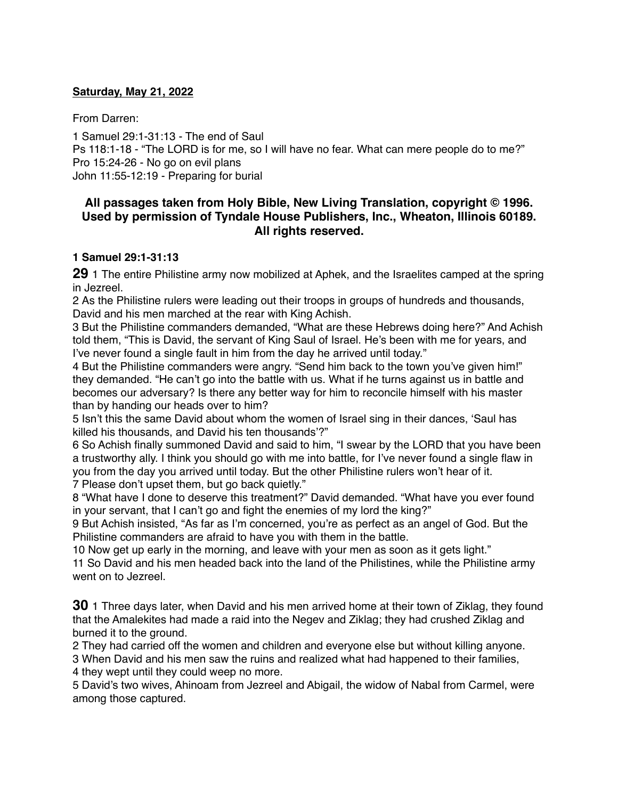#### **Saturday, May 21, 2022**

From Darren:

1 Samuel 29:1-31:13 - The end of Saul Ps 118:1-18 - "The LORD is for me, so I will have no fear. What can mere people do to me?" Pro 15:24-26 - No go on evil plans John 11:55-12:19 - Preparing for burial

# **All passages taken from Holy Bible, [New Living Translation](http://www.newlivingtranslation.com/), copyright © 1996. Used by permission of [Tyndale House Publishers](http://tyndale.com/), Inc., Wheaton, Illinois 60189. All rights reserved.**

### **1 Samuel 29:1-31:13**

**29** 1 The entire Philistine army now mobilized at Aphek, and the Israelites camped at the spring in Jezreel.

2 As the Philistine rulers were leading out their troops in groups of hundreds and thousands, David and his men marched at the rear with King Achish.

3 But the Philistine commanders demanded, "What are these Hebrews doing here?" And Achish told them, "This is David, the servant of King Saul of Israel. He's been with me for years, and I've never found a single fault in him from the day he arrived until today."

4 But the Philistine commanders were angry. "Send him back to the town you've given him!" they demanded. "He can't go into the battle with us. What if he turns against us in battle and becomes our adversary? Is there any better way for him to reconcile himself with his master than by handing our heads over to him?

5 Isn't this the same David about whom the women of Israel sing in their dances, 'Saul has killed his thousands, and David his ten thousands'?"

6 So Achish finally summoned David and said to him, "I swear by the LORD that you have been a trustworthy ally. I think you should go with me into battle, for I've never found a single flaw in you from the day you arrived until today. But the other Philistine rulers won't hear of it. 7 Please don't upset them, but go back quietly."

8 "What have I done to deserve this treatment?" David demanded. "What have you ever found in your servant, that I can't go and fight the enemies of my lord the king?"

9 But Achish insisted, "As far as I'm concerned, you're as perfect as an angel of God. But the Philistine commanders are afraid to have you with them in the battle.

10 Now get up early in the morning, and leave with your men as soon as it gets light." 11 So David and his men headed back into the land of the Philistines, while the Philistine army went on to Jezreel.

**30** 1 Three days later, when David and his men arrived home at their town of Ziklag, they found that the Amalekites had made a raid into the Negev and Ziklag; they had crushed Ziklag and burned it to the ground.

2 They had carried off the women and children and everyone else but without killing anyone.

3 When David and his men saw the ruins and realized what had happened to their families, 4 they wept until they could weep no more.

5 David's two wives, Ahinoam from Jezreel and Abigail, the widow of Nabal from Carmel, were among those captured.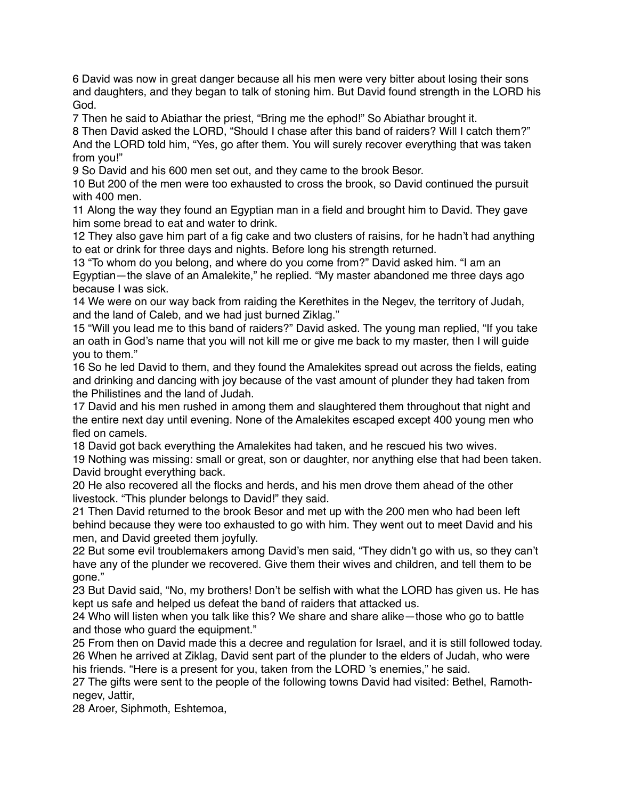6 David was now in great danger because all his men were very bitter about losing their sons and daughters, and they began to talk of stoning him. But David found strength in the LORD his God.

7 Then he said to Abiathar the priest, "Bring me the ephod!" So Abiathar brought it.

8 Then David asked the LORD, "Should I chase after this band of raiders? Will I catch them?" And the LORD told him, "Yes, go after them. You will surely recover everything that was taken from you!"

9 So David and his 600 men set out, and they came to the brook Besor.

10 But 200 of the men were too exhausted to cross the brook, so David continued the pursuit with 400 men

11 Along the way they found an Egyptian man in a field and brought him to David. They gave him some bread to eat and water to drink.

12 They also gave him part of a fig cake and two clusters of raisins, for he hadn't had anything to eat or drink for three days and nights. Before long his strength returned.

13 "To whom do you belong, and where do you come from?" David asked him. "I am an Egyptian—the slave of an Amalekite," he replied. "My master abandoned me three days ago because I was sick.

14 We were on our way back from raiding the Kerethites in the Negev, the territory of Judah, and the land of Caleb, and we had just burned Ziklag."

15 "Will you lead me to this band of raiders?" David asked. The young man replied, "If you take an oath in God's name that you will not kill me or give me back to my master, then I will guide you to them."

16 So he led David to them, and they found the Amalekites spread out across the fields, eating and drinking and dancing with joy because of the vast amount of plunder they had taken from the Philistines and the land of Judah.

17 David and his men rushed in among them and slaughtered them throughout that night and the entire next day until evening. None of the Amalekites escaped except 400 young men who fled on camels.

18 David got back everything the Amalekites had taken, and he rescued his two wives. 19 Nothing was missing: small or great, son or daughter, nor anything else that had been taken. David brought everything back.

20 He also recovered all the flocks and herds, and his men drove them ahead of the other livestock. "This plunder belongs to David!" they said.

21 Then David returned to the brook Besor and met up with the 200 men who had been left behind because they were too exhausted to go with him. They went out to meet David and his men, and David greeted them joyfully.

22 But some evil troublemakers among David's men said, "They didn't go with us, so they can't have any of the plunder we recovered. Give them their wives and children, and tell them to be gone."

23 But David said, "No, my brothers! Don't be selfish with what the LORD has given us. He has kept us safe and helped us defeat the band of raiders that attacked us.

24 Who will listen when you talk like this? We share and share alike—those who go to battle and those who guard the equipment."

25 From then on David made this a decree and regulation for Israel, and it is still followed today. 26 When he arrived at Ziklag, David sent part of the plunder to the elders of Judah, who were his friends. "Here is a present for you, taken from the LORD 's enemies," he said.

27 The gifts were sent to the people of the following towns David had visited: Bethel, Ramothnegev, Jattir,

28 Aroer, Siphmoth, Eshtemoa,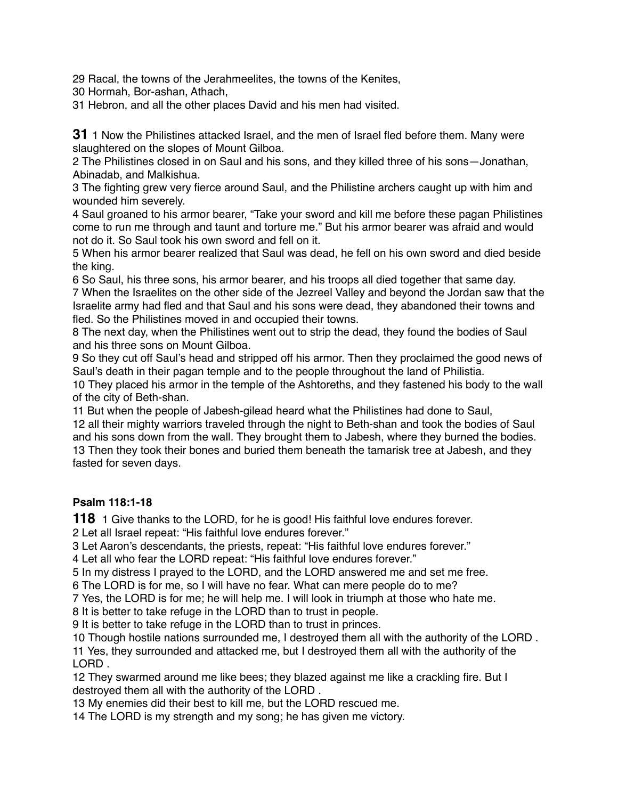Racal, the towns of the Jerahmeelites, the towns of the Kenites,

Hormah, Bor-ashan, Athach,

Hebron, and all the other places David and his men had visited.

1 Now the Philistines attacked Israel, and the men of Israel fled before them. Many were slaughtered on the slopes of Mount Gilboa.

 The Philistines closed in on Saul and his sons, and they killed three of his sons—Jonathan, Abinadab, and Malkishua.

 The fighting grew very fierce around Saul, and the Philistine archers caught up with him and wounded him severely.

 Saul groaned to his armor bearer, "Take your sword and kill me before these pagan Philistines come to run me through and taunt and torture me." But his armor bearer was afraid and would not do it. So Saul took his own sword and fell on it.

 When his armor bearer realized that Saul was dead, he fell on his own sword and died beside the king.

 So Saul, his three sons, his armor bearer, and his troops all died together that same day. When the Israelites on the other side of the Jezreel Valley and beyond the Jordan saw that the Israelite army had fled and that Saul and his sons were dead, they abandoned their towns and fled. So the Philistines moved in and occupied their towns.

 The next day, when the Philistines went out to strip the dead, they found the bodies of Saul and his three sons on Mount Gilboa.

 So they cut off Saul's head and stripped off his armor. Then they proclaimed the good news of Saul's death in their pagan temple and to the people throughout the land of Philistia.

 They placed his armor in the temple of the Ashtoreths, and they fastened his body to the wall of the city of Beth-shan.

But when the people of Jabesh-gilead heard what the Philistines had done to Saul,

 all their mighty warriors traveled through the night to Beth-shan and took the bodies of Saul and his sons down from the wall. They brought them to Jabesh, where they burned the bodies. Then they took their bones and buried them beneath the tamarisk tree at Jabesh, and they fasted for seven days.

# **Psalm 118:1-18**

1 Give thanks to the LORD, for he is good! His faithful love endures forever.

Let all Israel repeat: "His faithful love endures forever."

Let Aaron's descendants, the priests, repeat: "His faithful love endures forever."

Let all who fear the LORD repeat: "His faithful love endures forever."

In my distress I prayed to the LORD, and the LORD answered me and set me free.

The LORD is for me, so I will have no fear. What can mere people do to me?

Yes, the LORD is for me; he will help me. I will look in triumph at those who hate me.

It is better to take refuge in the LORD than to trust in people.

It is better to take refuge in the LORD than to trust in princes.

Though hostile nations surrounded me, I destroyed them all with the authority of the LORD .

 Yes, they surrounded and attacked me, but I destroyed them all with the authority of the LORD .

 They swarmed around me like bees; they blazed against me like a crackling fire. But I destroyed them all with the authority of the LORD .

My enemies did their best to kill me, but the LORD rescued me.

The LORD is my strength and my song; he has given me victory.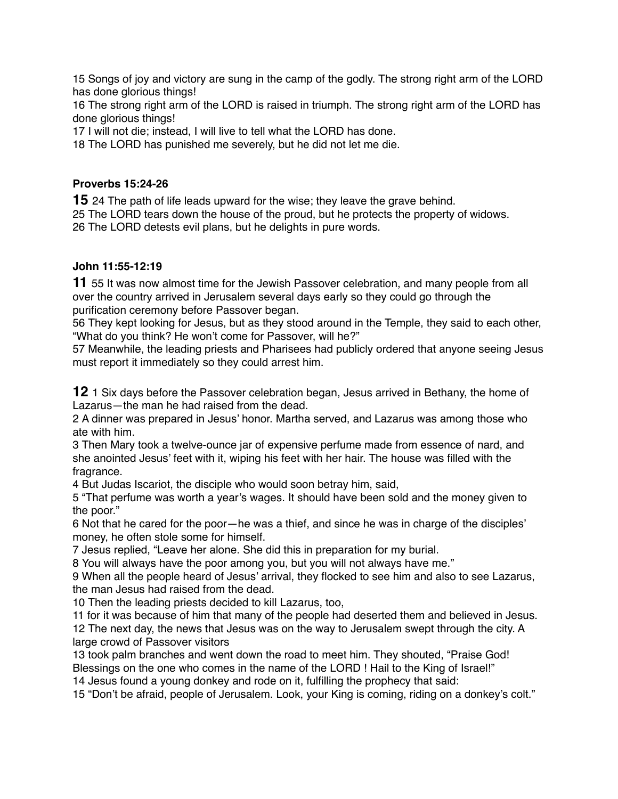15 Songs of joy and victory are sung in the camp of the godly. The strong right arm of the LORD has done glorious things!

16 The strong right arm of the LORD is raised in triumph. The strong right arm of the LORD has done glorious things!

17 I will not die; instead, I will live to tell what the LORD has done.

18 The LORD has punished me severely, but he did not let me die.

### **Proverbs 15:24-26**

**15** 24 The path of life leads upward for the wise; they leave the grave behind.

25 The LORD tears down the house of the proud, but he protects the property of widows. 26 The LORD detests evil plans, but he delights in pure words.

# **John 11:55-12:19**

**11** 55 It was now almost time for the Jewish Passover celebration, and many people from all over the country arrived in Jerusalem several days early so they could go through the purification ceremony before Passover began.

56 They kept looking for Jesus, but as they stood around in the Temple, they said to each other, "What do you think? He won't come for Passover, will he?"

57 Meanwhile, the leading priests and Pharisees had publicly ordered that anyone seeing Jesus must report it immediately so they could arrest him.

**12** 1 Six days before the Passover celebration began, Jesus arrived in Bethany, the home of Lazarus—the man he had raised from the dead.

2 A dinner was prepared in Jesus' honor. Martha served, and Lazarus was among those who ate with him.

3 Then Mary took a twelve-ounce jar of expensive perfume made from essence of nard, and she anointed Jesus' feet with it, wiping his feet with her hair. The house was filled with the fragrance.

4 But Judas Iscariot, the disciple who would soon betray him, said,

5 "That perfume was worth a year's wages. It should have been sold and the money given to the poor."

6 Not that he cared for the poor—he was a thief, and since he was in charge of the disciples' money, he often stole some for himself.

7 Jesus replied, "Leave her alone. She did this in preparation for my burial.

8 You will always have the poor among you, but you will not always have me."

9 When all the people heard of Jesus' arrival, they flocked to see him and also to see Lazarus, the man Jesus had raised from the dead.

10 Then the leading priests decided to kill Lazarus, too,

11 for it was because of him that many of the people had deserted them and believed in Jesus. 12 The next day, the news that Jesus was on the way to Jerusalem swept through the city. A large crowd of Passover visitors

13 took palm branches and went down the road to meet him. They shouted, "Praise God! Blessings on the one who comes in the name of the LORD ! Hail to the King of Israel!"

14 Jesus found a young donkey and rode on it, fulfilling the prophecy that said:

15 "Don't be afraid, people of Jerusalem. Look, your King is coming, riding on a donkey's colt."